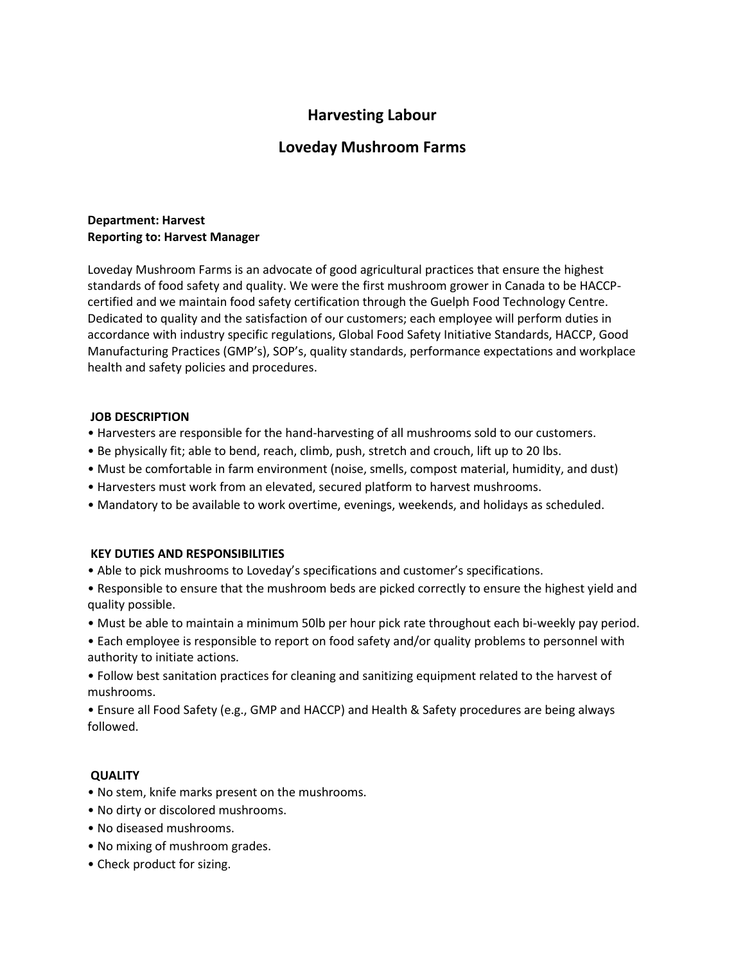# **Harvesting Labour**

## **Loveday Mushroom Farms**

#### **Department: Harvest Reporting to: Harvest Manager**

Loveday Mushroom Farms is an advocate of good agricultural practices that ensure the highest standards of food safety and quality. We were the first mushroom grower in Canada to be HACCPcertified and we maintain food safety certification through the Guelph Food Technology Centre. Dedicated to quality and the satisfaction of our customers; each employee will perform duties in accordance with industry specific regulations, Global Food Safety Initiative Standards, HACCP, Good Manufacturing Practices (GMP's), SOP's, quality standards, performance expectations and workplace health and safety policies and procedures.

#### **JOB DESCRIPTION**

- Harvesters are responsible for the hand-harvesting of all mushrooms sold to our customers.
- Be physically fit; able to bend, reach, climb, push, stretch and crouch, lift up to 20 lbs.
- Must be comfortable in farm environment (noise, smells, compost material, humidity, and dust)
- Harvesters must work from an elevated, secured platform to harvest mushrooms.
- Mandatory to be available to work overtime, evenings, weekends, and holidays as scheduled.

#### **KEY DUTIES AND RESPONSIBILITIES**

- Able to pick mushrooms to Loveday's specifications and customer's specifications.
- Responsible to ensure that the mushroom beds are picked correctly to ensure the highest yield and quality possible.
- Must be able to maintain a minimum 50lb per hour pick rate throughout each bi-weekly pay period.
- Each employee is responsible to report on food safety and/or quality problems to personnel with authority to initiate actions.
- Follow best sanitation practices for cleaning and sanitizing equipment related to the harvest of mushrooms.
- Ensure all Food Safety (e.g., GMP and HACCP) and Health & Safety procedures are being always followed.

### **QUALITY**

- No stem, knife marks present on the mushrooms.
- No dirty or discolored mushrooms.
- No diseased mushrooms.
- No mixing of mushroom grades.
- Check product for sizing.